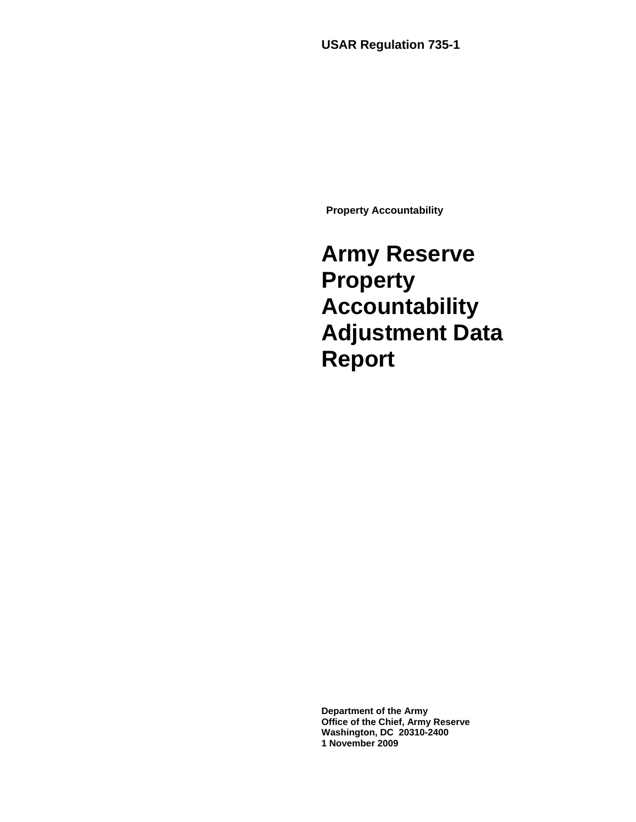**USAR Regulation 735-1** 

**Property Accountability** 

**Army Reserve Property Accountability Adjustment Data Report**

**Department of the Army Office of the Chief, Army Reserve Washington, DC 20310-2400 1 November 2009**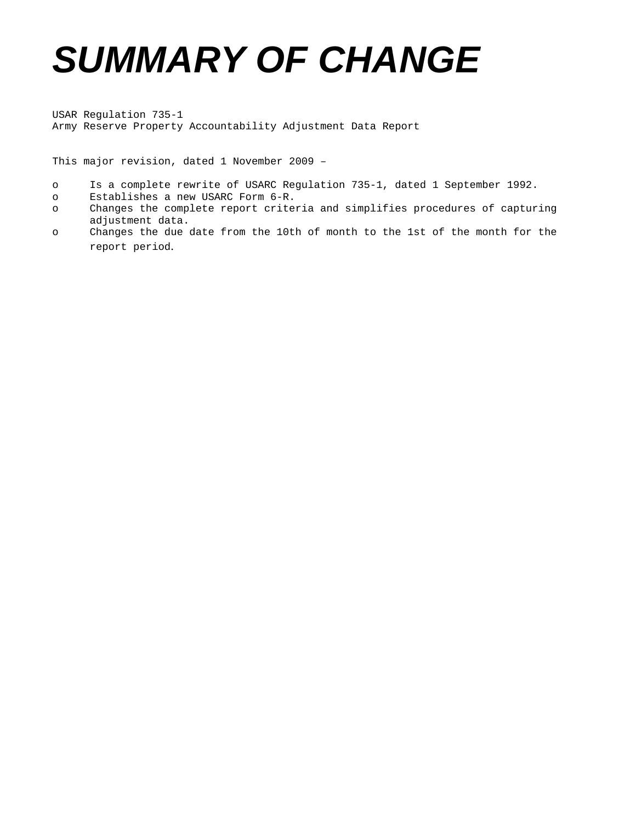# *SUMMARY OF CHANGE*

USAR Regulation 735-1 Army Reserve Property Accountability Adjustment Data Report

This major revision, dated 1 November 2009 –

- o Is a complete rewrite of USARC Regulation 735-1, dated 1 September 1992.
- o Establishes a new USARC Form 6-R.
- o Changes the complete report criteria and simplifies procedures of capturing adjustment data.
- o Changes the due date from the 10th of month to the 1st of the month for the report period.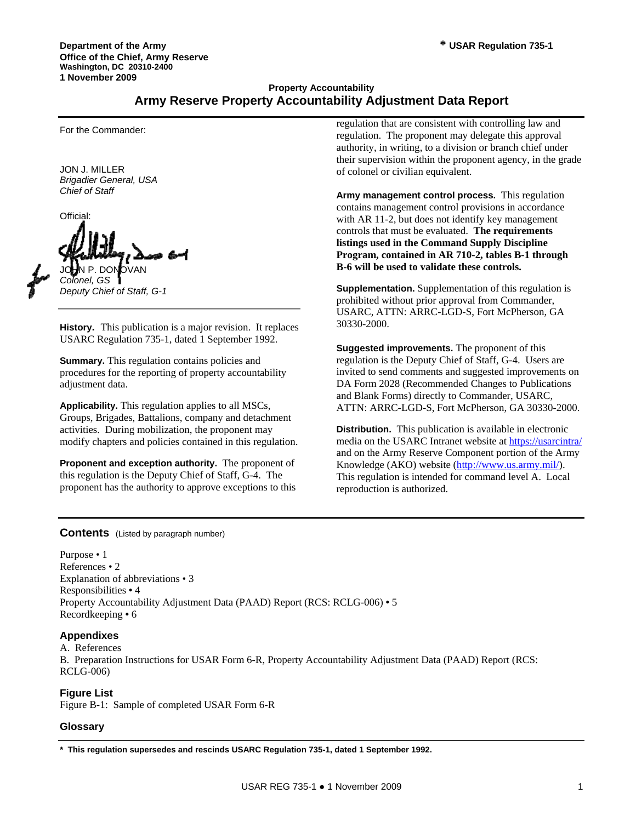# **Property Accountability Army Reserve Property Accountability Adjustment Data Report**

For the Commander:

JON J. MILLER *Brigadier General, USA Chief of Staff* 

Official: JOHN P. DONOVAN *Colonel, GS* 

*Deputy Chief of Staff, G-1* 

**History.** This publication is a major revision. It replaces USARC Regulation 735-1, dated 1 September 1992.

**Summary.** This regulation contains policies and procedures for the reporting of property accountability adjustment data.

**Applicability.** This regulation applies to all MSCs, Groups, Brigades, Battalions, company and detachment activities. During mobilization, the proponent may modify chapters and policies contained in this regulation.

**Proponent and exception authority.** The proponent of this regulation is the Deputy Chief of Staff, G-4. The proponent has the authority to approve exceptions to this regulation that are consistent with controlling law and regulation. The proponent may delegate this approval authority, in writing, to a division or branch chief under their supervision within the proponent agency, in the grade of colonel or civilian equivalent.

**Army management control process.** This regulation contains management control provisions in accordance with AR 11-2, but does not identify key management controls that must be evaluated. **The requirements listings used in the Command Supply Discipline Program, contained in AR 710-2, tables B-1 through B-6 will be used to validate these controls.**

**Supplementation.** Supplementation of this regulation is prohibited without prior approval from Commander, USARC, ATTN: ARRC-LGD-S, Fort McPherson, GA 30330-2000.

**Suggested improvements.** The proponent of this regulation is the Deputy Chief of Staff, G-4. Users are invited to send comments and suggested improvements on DA Form 2028 (Recommended Changes to Publications and Blank Forms) directly to Commander, USARC, ATTN: ARRC-LGD-S, Fort McPherson, GA 30330-2000.

**Distribution.** This publication is available in electronic media on the USARC Intranet website at<https://usarcintra/> and on the Army Reserve Component portion of the Army Knowledge (AKO) website (<http://www.us.army.mil/>). This regulation is intended for command level A. Local reproduction is authorized.

#### **Contents** (Listed by paragraph number)

Purpose • 1 References • 2 Explanation of abbreviations • 3 Responsibilities **•** 4 Property Accountability Adjustment Data (PAAD) Report (RCS: RCLG-006) **•** 5 Recordkeeping **•** 6

## **Appendixes**

A. References B. Preparation Instructions for USAR Form 6-R, Property Accountability Adjustment Data (PAAD) Report (RCS: RCLG-006)

## **Figure List**

Figure B-1: Sample of completed USAR Form 6-R

## **Glossary**

**\* This regulation supersedes and rescinds USARC Regulation 735-1, dated 1 September 1992.**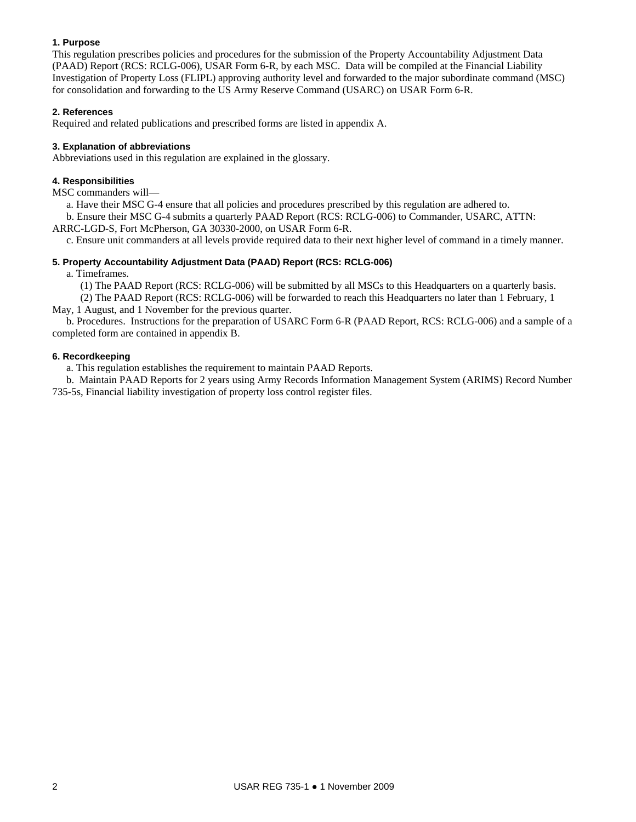## **1. Purpose**

This regulation prescribes policies and procedures for the submission of the Property Accountability Adjustment Data (PAAD) Report (RCS: RCLG-006), USAR Form 6-R, by each MSC. Data will be compiled at the Financial Liability Investigation of Property Loss (FLIPL) approving authority level and forwarded to the major subordinate command (MSC) for consolidation and forwarding to the US Army Reserve Command (USARC) on USAR Form 6-R.

## **2. References**

Required and related publications and prescribed forms are listed in appendix A.

## **3. Explanation of abbreviations**

Abbreviations used in this regulation are explained in the glossary.

## **4. Responsibilities**

MSC commanders will—

a. Have their MSC G-4 ensure that all policies and procedures prescribed by this regulation are adhered to.

 b. Ensure their MSC G-4 submits a quarterly PAAD Report (RCS: RCLG-006) to Commander, USARC, ATTN: ARRC-LGD-S, Fort McPherson, GA 30330-2000, on USAR Form 6-R.

c. Ensure unit commanders at all levels provide required data to their next higher level of command in a timely manner.

## **5. Property Accountability Adjustment Data (PAAD) Report (RCS: RCLG-006)**

a. Timeframes.

(1) The PAAD Report (RCS: RCLG-006) will be submitted by all MSCs to this Headquarters on a quarterly basis.

 (2) The PAAD Report (RCS: RCLG-006) will be forwarded to reach this Headquarters no later than 1 February, 1 May, 1 August, and 1 November for the previous quarter.

 b. Procedures. Instructions for the preparation of USARC Form 6-R (PAAD Report, RCS: RCLG-006) and a sample of a completed form are contained in appendix B.

## **6. Recordkeeping**

a. This regulation establishes the requirement to maintain PAAD Reports.

 b. Maintain PAAD Reports for 2 years using Army Records Information Management System (ARIMS) Record Number 735-5s, Financial liability investigation of property loss control register files.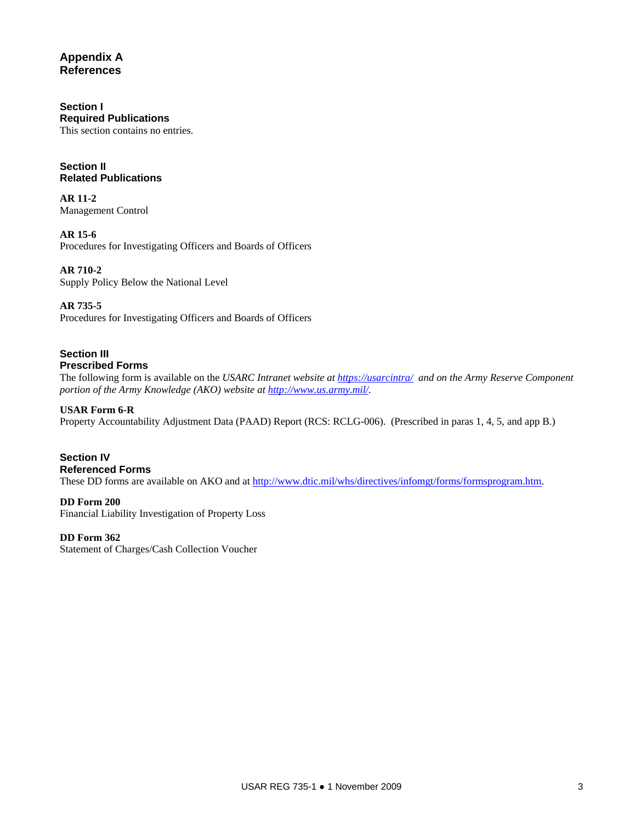# **Appendix A References**

## **Section I Required Publications**

This section contains no entries.

## **Section II Related Publications**

**AR 11-2**  Management Control

**AR 15-6**  Procedures for Investigating Officers and Boards of Officers

**AR 710-2**  Supply Policy Below the National Level

# **AR 735-5**

Procedures for Investigating Officers and Boards of Officers

## **Section III Prescribed Forms**

The following form is available on the *USARC Intranet website at<https://usarcintra/>and on the Army Reserve Component portion of the Army Knowledge (AKO) website at<http://www.us.army.mil/>.*

# **USAR Form 6-R**

Property Accountability Adjustment Data (PAAD) Report (RCS: RCLG-006). (Prescribed in paras 1, 4, 5, and app B.)

# **Section IV Referenced Forms**

These DD forms are available on AKO and at<http://www.dtic.mil/whs/directives/infomgt/forms/formsprogram.htm>.

# **DD Form 200**

Financial Liability Investigation of Property Loss

## **DD Form 362**

Statement of Charges/Cash Collection Voucher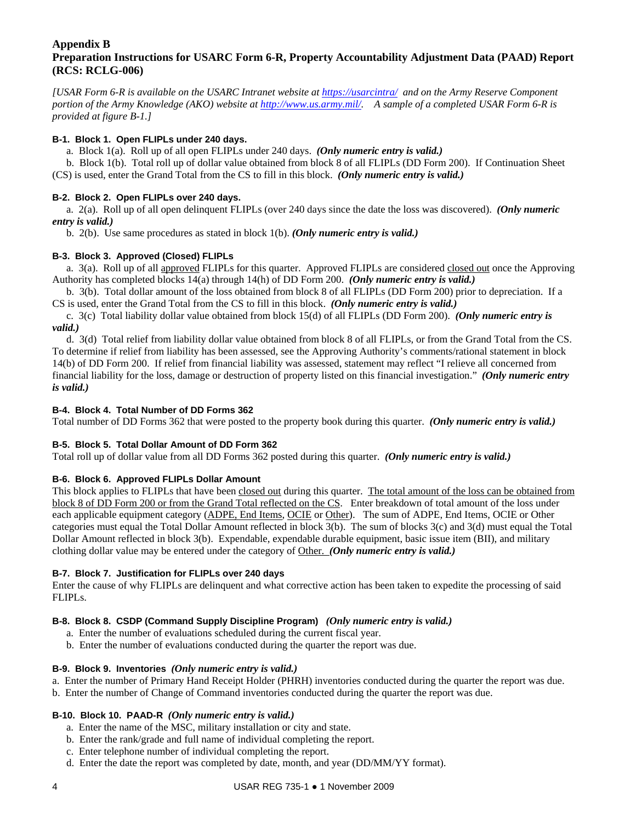## **Appendix B Preparation Instructions for USARC Form 6-R, Property Accountability Adjustment Data (PAAD) Report (RCS: RCLG-006)**

*[USAR Form 6-R is available on the USARC Intranet website at<https://usarcintra/>and on the Army Reserve Component portion of the Army Knowledge (AKO) website at [http://www.us.army.mil/.](http://www.us.army.mil/) A sample of a completed USAR Form 6-R is provided at figure B-1.]* 

## **B-1. Block 1. Open FLIPLs under 240 days.**

a. Block 1(a). Roll up of all open FLIPLs under 240 days. *(Only numeric entry is valid.)* 

 b. Block 1(b). Total roll up of dollar value obtained from block 8 of all FLIPLs (DD Form 200). If Continuation Sheet (CS) is used, enter the Grand Total from the CS to fill in this block. *(Only numeric entry is valid.)*

## **B-2. Block 2. Open FLIPLs over 240 days.**

 a. 2(a). Roll up of all open delinquent FLIPLs (over 240 days since the date the loss was discovered). *(Only numeric entry is valid.)*

b. 2(b). Use same procedures as stated in block 1(b). *(Only numeric entry is valid.)*

# **B-3. Block 3. Approved (Closed) FLIPLs**

 a. 3(a). Roll up of all approved FLIPLs for this quarter. Approved FLIPLs are considered closed out once the Approving Authority has completed blocks 14(a) through 14(h) of DD Form 200. *(Only numeric entry is valid.)*

 b. 3(b). Total dollar amount of the loss obtained from block 8 of all FLIPLs (DD Form 200) prior to depreciation. If a CS is used, enter the Grand Total from the CS to fill in this block. *(Only numeric entry is valid.)*

 c. 3(c) Total liability dollar value obtained from block 15(d) of all FLIPLs (DD Form 200). *(Only numeric entry is valid.)*

 d. 3(d) Total relief from liability dollar value obtained from block 8 of all FLIPLs, or from the Grand Total from the CS. To determine if relief from liability has been assessed, see the Approving Authority's comments/rational statement in block 14(b) of DD Form 200. If relief from financial liability was assessed, statement may reflect "I relieve all concerned from financial liability for the loss, damage or destruction of property listed on this financial investigation." *(Only numeric entry is valid.)*

## **B-4. Block 4. Total Number of DD Forms 362**

Total number of DD Forms 362 that were posted to the property book during this quarter. *(Only numeric entry is valid.)*

## **B-5. Block 5. Total Dollar Amount of DD Form 362**

Total roll up of dollar value from all DD Forms 362 posted during this quarter. *(Only numeric entry is valid.)*

## **B-6. Block 6. Approved FLIPLs Dollar Amount**

This block applies to FLIPLs that have been closed out during this quarter. The total amount of the loss can be obtained from block 8 of DD Form 200 or from the Grand Total reflected on the CS. Enter breakdown of total amount of the loss under each applicable equipment category (ADPE, End Items, OCIE or Other). The sum of ADPE, End Items, OCIE or Other categories must equal the Total Dollar Amount reflected in block 3(b). The sum of blocks 3(c) and 3(d) must equal the Total Dollar Amount reflected in block 3(b). Expendable, expendable durable equipment, basic issue item (BII), and military clothing dollar value may be entered under the category of Other. *(Only numeric entry is valid.)*

## **B-7. Block 7. Justification for FLIPLs over 240 days**

Enter the cause of why FLIPLs are delinquent and what corrective action has been taken to expedite the processing of said FLIPLs.

## **B-8. Block 8. CSDP (Command Supply Discipline Program)** *(Only numeric entry is valid.)*

- a. Enter the number of evaluations scheduled during the current fiscal year.
- b. Enter the number of evaluations conducted during the quarter the report was due.

## **B-9. Block 9. Inventories** *(Only numeric entry is valid.)*

- a. Enter the number of Primary Hand Receipt Holder (PHRH) inventories conducted during the quarter the report was due.
- b. Enter the number of Change of Command inventories conducted during the quarter the report was due.

## **B-10. Block 10. PAAD-R** *(Only numeric entry is valid.)*

- a. Enter the name of the MSC, military installation or city and state.
- b. Enter the rank/grade and full name of individual completing the report.
- c. Enter telephone number of individual completing the report.
- d. Enter the date the report was completed by date, month, and year (DD/MM/YY format).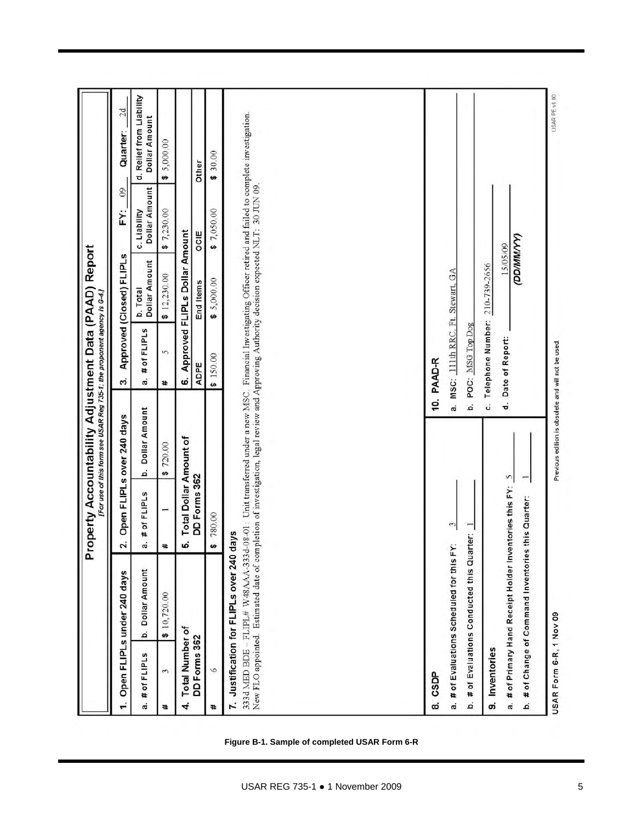|                             |                                                                                                              |                                     | Property Accountability Adjustment Data (PAAD) Report<br>For use of this form see USAR Reg 735-1; the proponent agency is G-4.]                                                                                                                                                                      |                                    |                               |                                      |                                           |
|-----------------------------|--------------------------------------------------------------------------------------------------------------|-------------------------------------|------------------------------------------------------------------------------------------------------------------------------------------------------------------------------------------------------------------------------------------------------------------------------------------------------|------------------------------------|-------------------------------|--------------------------------------|-------------------------------------------|
|                             | Open FLIPLs under 240 days                                                                                   | N                                   | Open FLIPLs over 240 days                                                                                                                                                                                                                                                                            | ကဲ                                 | Approved (Closed) FLIPLs      | $\overline{0}$<br>خ                  | 2d<br>Quarter:                            |
| # of FLIPLS<br>a.           | Dollar Amount<br>á                                                                                           | # of FLIPLS<br>a                    | Dollar Amount<br>á                                                                                                                                                                                                                                                                                   | # of FLIPLS<br>a.                  | b. Total<br>Dollar Amount     | <b>Dollar Amount</b><br>c. Liability | d. Relief from Liability<br>Dollar Amount |
| 3<br>₩                      | \$10,720.00                                                                                                  | Ħ.                                  | \$720.00                                                                                                                                                                                                                                                                                             | 5<br>#                             | \$12,230.00                   | \$7,230,00                           | 5,000.00<br>$\bullet$                     |
| <b>Total Number of</b><br>4 |                                                                                                              | <b>Total Dollar Amount of</b><br>W) |                                                                                                                                                                                                                                                                                                      | ဖ                                  | Approved FLIPLs Dollar Amount |                                      |                                           |
| DD Forms 362                |                                                                                                              | DD Forms 362                        |                                                                                                                                                                                                                                                                                                      | ADPE                               | End Items                     | OCIE                                 | Other                                     |
| 6<br>#                      |                                                                                                              | 780.00                              |                                                                                                                                                                                                                                                                                                      | \$150.00                           | \$5,000.00                    | \$7,050.00                           | 30.00<br>ø                                |
|                             | 7. Justification for FLIPLs over 240 days                                                                    |                                     | 333d MED BDE - FLIPL# W48AAA-333d-08-01: Unit transferred under a new MSC. Financial Investigating Officer retired and failed to complete investigation.<br>New FLO appointed. Estimated date of completion of investigation, legal review and Approving Authority decision expected NLT: 30 JUN 09. |                                    |                               |                                      |                                           |
| <b>CSDP</b><br>ထဲ           |                                                                                                              |                                     |                                                                                                                                                                                                                                                                                                      | 10. PAAD-R                         |                               |                                      |                                           |
|                             | a. # of Evaluations Scheduled for this FY:                                                                   | 3                                   |                                                                                                                                                                                                                                                                                                      | a. MSC: 111th RRC, Ft. Stewart, GA |                               |                                      |                                           |
| ä                           | # of Evaluations Conducted this Quarter: 1                                                                   |                                     | á                                                                                                                                                                                                                                                                                                    | POC: MSG Top Dog                   |                               |                                      |                                           |
| 9. Inventories              |                                                                                                              |                                     | ċ.                                                                                                                                                                                                                                                                                                   | Telephone Number: 210-739-2656     |                               |                                      |                                           |
| á                           | a. # of Primary Hand Receipt Holder Inventories this FY:<br># of Change of Command Inventories this Quarter: |                                     | d.<br>Ş                                                                                                                                                                                                                                                                                              | Date of Report:                    | <b>COMMACO</b><br>15/05/09    |                                      |                                           |
| USAR Form 6-R, 1 Nov 09     |                                                                                                              |                                     | Previous edition is obsolete and will not be used.                                                                                                                                                                                                                                                   |                                    |                               |                                      | USAR PE V1.00                             |

**Figure B-1. Sample of completed USAR Form 6-R**